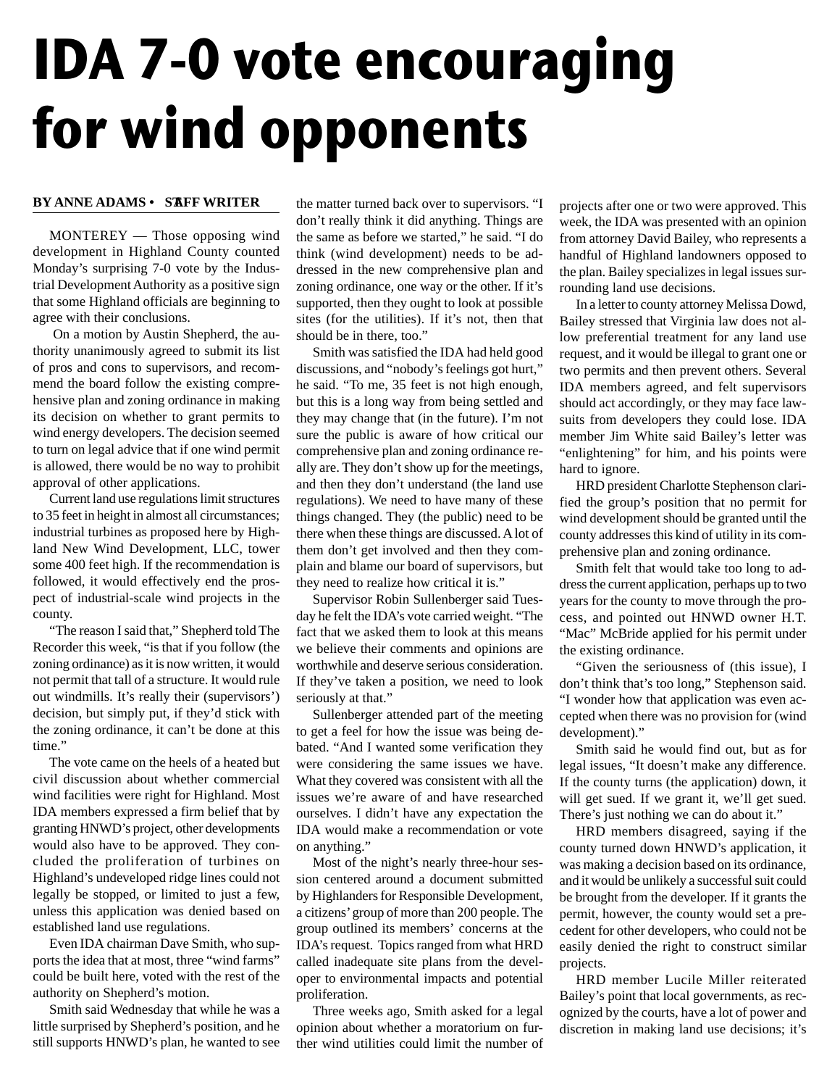## **IDA 7-0 vote encouraging for wind opponents**

## **BY ANNE ADAMS • STAFF WRITER**

MONTEREY — Those opposing wind development in Highland County counted Monday's surprising 7-0 vote by the Industrial Development Authority as a positive sign that some Highland officials are beginning to agree with their conclusions.

On a motion by Austin Shepherd, the authority unanimously agreed to submit its list of pros and cons to supervisors, and recommend the board follow the existing comprehensive plan and zoning ordinance in making its decision on whether to grant permits to wind energy developers. The decision seemed to turn on legal advice that if one wind permit is allowed, there would be no way to prohibit approval of other applications.

Current land use regulations limit structures to 35 feet in height in almost all circumstances; industrial turbines as proposed here by Highland New Wind Development, LLC, tower some 400 feet high. If the recommendation is followed, it would effectively end the prospect of industrial-scale wind projects in the county.

"The reason I said that," Shepherd told The Recorder this week, "is that if you follow (the zoning ordinance) as it is now written, it would not permit that tall of a structure. It would rule out windmills. It's really their (supervisors') decision, but simply put, if they'd stick with the zoning ordinance, it can't be done at this time."

The vote came on the heels of a heated but civil discussion about whether commercial wind facilities were right for Highland. Most IDA members expressed a firm belief that by granting HNWD's project, other developments would also have to be approved. They concluded the proliferation of turbines on Highland's undeveloped ridge lines could not legally be stopped, or limited to just a few, unless this application was denied based on established land use regulations.

Even IDA chairman Dave Smith, who supports the idea that at most, three "wind farms" could be built here, voted with the rest of the authority on Shepherd's motion.

Smith said Wednesday that while he was a little surprised by Shepherd's position, and he still supports HNWD's plan, he wanted to see

the matter turned back over to supervisors. "I don't really think it did anything. Things are the same as before we started," he said. "I do think (wind development) needs to be addressed in the new comprehensive plan and zoning ordinance, one way or the other. If it's supported, then they ought to look at possible sites (for the utilities). If it's not, then that should be in there, too."

Smith was satisfied the IDA had held good discussions, and "nobody's feelings got hurt," he said. "To me, 35 feet is not high enough, but this is a long way from being settled and they may change that (in the future). I'm not sure the public is aware of how critical our comprehensive plan and zoning ordinance really are. They don't show up for the meetings, and then they don't understand (the land use regulations). We need to have many of these things changed. They (the public) need to be there when these things are discussed. A lot of them don't get involved and then they complain and blame our board of supervisors, but they need to realize how critical it is."

Supervisor Robin Sullenberger said Tuesday he felt the IDA's vote carried weight. "The fact that we asked them to look at this means we believe their comments and opinions are worthwhile and deserve serious consideration. If they've taken a position, we need to look seriously at that."

Sullenberger attended part of the meeting to get a feel for how the issue was being debated. "And I wanted some verification they were considering the same issues we have. What they covered was consistent with all the issues we're aware of and have researched ourselves. I didn't have any expectation the IDA would make a recommendation or vote on anything."

Most of the night's nearly three-hour session centered around a document submitted by Highlanders for Responsible Development, a citizens' group of more than 200 people. The group outlined its members' concerns at the IDA's request. Topics ranged from what HRD called inadequate site plans from the developer to environmental impacts and potential proliferation.

Three weeks ago, Smith asked for a legal opinion about whether a moratorium on further wind utilities could limit the number of projects after one or two were approved. This week, the IDA was presented with an opinion from attorney David Bailey, who represents a handful of Highland landowners opposed to the plan. Bailey specializes in legal issues surrounding land use decisions.

In a letter to county attorney Melissa Dowd, Bailey stressed that Virginia law does not allow preferential treatment for any land use request, and it would be illegal to grant one or two permits and then prevent others. Several IDA members agreed, and felt supervisors should act accordingly, or they may face lawsuits from developers they could lose. IDA member Jim White said Bailey's letter was "enlightening" for him, and his points were hard to ignore.

HRD president Charlotte Stephenson clarified the group's position that no permit for wind development should be granted until the county addresses this kind of utility in its comprehensive plan and zoning ordinance.

Smith felt that would take too long to address the current application, perhaps up to two years for the county to move through the process, and pointed out HNWD owner H.T. "Mac" McBride applied for his permit under the existing ordinance.

"Given the seriousness of (this issue), I don't think that's too long," Stephenson said. "I wonder how that application was even accepted when there was no provision for (wind development)."

Smith said he would find out, but as for legal issues, "It doesn't make any difference. If the county turns (the application) down, it will get sued. If we grant it, we'll get sued. There's just nothing we can do about it."

HRD members disagreed, saying if the county turned down HNWD's application, it was making a decision based on its ordinance, and it would be unlikely a successful suit could be brought from the developer. If it grants the permit, however, the county would set a precedent for other developers, who could not be easily denied the right to construct similar projects.

HRD member Lucile Miller reiterated Bailey's point that local governments, as recognized by the courts, have a lot of power and discretion in making land use decisions; it's